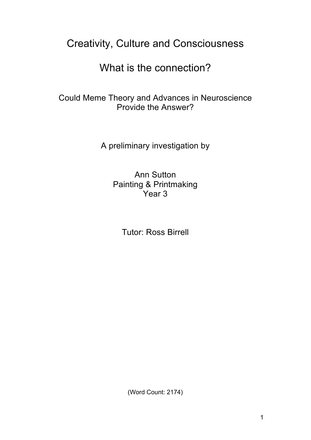## Creativity, Culture and Consciousness

What is the connection?

Could Meme Theory and Advances in Neuroscience Provide the Answer?

A preliminary investigation by

Ann Sutton Painting & Printmaking Year 3

Tutor: Ross Birrell

(Word Count: 2174)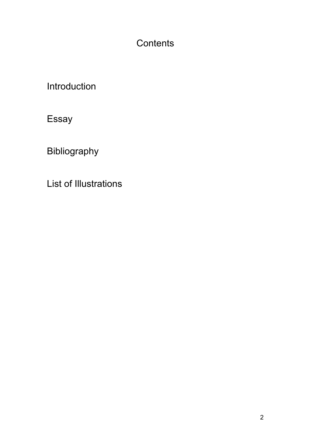## **Contents**

Introduction

Essay

Bibliography

List of Illustrations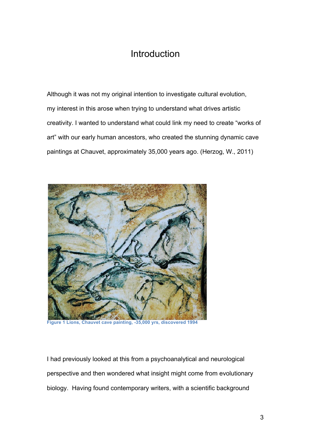### **Introduction**

Although it was not my original intention to investigate cultural evolution, my interest in this arose when trying to understand what drives artistic creativity. I wanted to understand what could link my need to create "works of art" with our early human ancestors, who created the stunning dynamic cave paintings at Chauvet, approximately 35,000 years ago. (Herzog, W., 2011)



**Figure 1 Lions, Chauvet cave painting, -35,000 yrs, discovered 1994**

I had previously looked at this from a psychoanalytical and neurological perspective and then wondered what insight might come from evolutionary biology. Having found contemporary writers, with a scientific background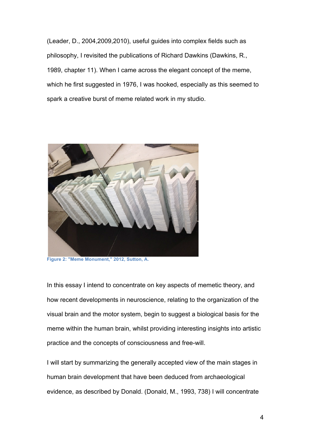(Leader, D., 2004,2009,2010), useful guides into complex fields such as philosophy, I revisited the publications of Richard Dawkins (Dawkins, R., 1989, chapter 11). When I came across the elegant concept of the meme, which he first suggested in 1976, I was hooked, especially as this seemed to spark a creative burst of meme related work in my studio.



**Figure 2: "Meme Monument," 2012, Sutton, A.**

In this essay I intend to concentrate on key aspects of memetic theory, and how recent developments in neuroscience, relating to the organization of the visual brain and the motor system, begin to suggest a biological basis for the meme within the human brain, whilst providing interesting insights into artistic practice and the concepts of consciousness and free-will.

I will start by summarizing the generally accepted view of the main stages in human brain development that have been deduced from archaeological evidence, as described by Donald. (Donald, M., 1993, 738) I will concentrate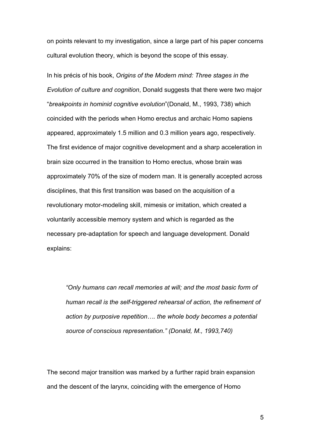on points relevant to my investigation, since a large part of his paper concerns cultural evolution theory, which is beyond the scope of this essay.

In his précis of his book, *Origins of the Modern mind: Three stages in the Evolution of culture and cognition*, Donald suggests that there were two major "*breakpoints in hominid cognitive evolution*"(Donald, M., 1993, 738) which coincided with the periods when Homo erectus and archaic Homo sapiens appeared, approximately 1.5 million and 0.3 million years ago, respectively. The first evidence of major cognitive development and a sharp acceleration in brain size occurred in the transition to Homo erectus, whose brain was approximately 70% of the size of modern man. It is generally accepted across disciplines, that this first transition was based on the acquisition of a revolutionary motor-modeling skill, mimesis or imitation, which created a voluntarily accessible memory system and which is regarded as the necessary pre-adaptation for speech and language development. Donald explains:

*"Only humans can recall memories at will; and the most basic form of human recall is the self-triggered rehearsal of action, the refinement of action by purposive repetition…. the whole body becomes a potential source of conscious representation." (Donald, M., 1993,740)*

The second major transition was marked by a further rapid brain expansion and the descent of the larynx, coinciding with the emergence of Homo

5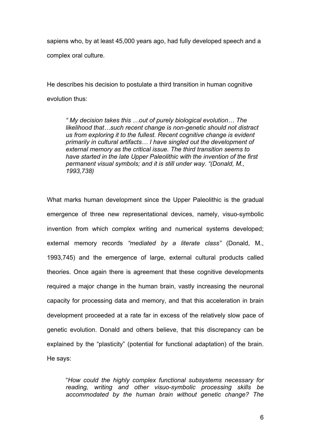sapiens who, by at least 45,000 years ago, had fully developed speech and a complex oral culture.

He describes his decision to postulate a third transition in human cognitive evolution thus:

*" My decision takes this …out of purely biological evolution… The likelihood that…such recent change is non-genetic should not distract us from exploring it to the fullest. Recent cognitive change is evident primarily in cultural artifacts… I have singled out the development of external memory as the critical issue. The third transition seems to have started in the late Upper Paleolithic with the invention of the first permanent visual symbols; and it is still under way. "(Donald, M., 1993,738)*

What marks human development since the Upper Paleolithic is the gradual emergence of three new representational devices, namely, visuo-symbolic invention from which complex writing and numerical systems developed; external memory records *"mediated by a literate class"* (Donald, M., 1993,745) and the emergence of large, external cultural products called theories. Once again there is agreement that these cognitive developments required a major change in the human brain, vastly increasing the neuronal capacity for processing data and memory, and that this acceleration in brain development proceeded at a rate far in excess of the relatively slow pace of genetic evolution. Donald and others believe, that this discrepancy can be explained by the "plasticity" (potential for functional adaptation) of the brain. He says:

"*How could the highly complex functional subsystems necessary for reading, writing and other visuo-symbolic processing skills be accommodated by the human brain without genetic change? The* 

6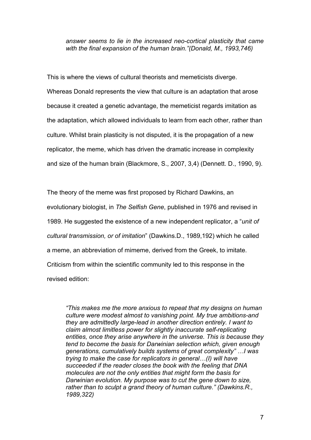*answer seems to lie in the increased neo-cortical plasticity that came with the final expansion of the human brain."(Donald, M., 1993,746)*

This is where the views of cultural theorists and memeticists diverge. Whereas Donald represents the view that culture is an adaptation that arose because it created a genetic advantage, the memeticist regards imitation as the adaptation, which allowed individuals to learn from each other, rather than culture. Whilst brain plasticity is not disputed, it is the propagation of a new replicator, the meme, which has driven the dramatic increase in complexity and size of the human brain (Blackmore, S., 2007, 3,4) (Dennett. D., 1990, 9).

The theory of the meme was first proposed by Richard Dawkins, an evolutionary biologist, in *The Selfish Gene*, published in 1976 and revised in 1989. He suggested the existence of a new independent replicator, a "*unit of cultural transmission, or of imitation*" (Dawkins.D., 1989,192) which he called a meme, an abbreviation of mimeme, derived from the Greek, to imitate. Criticism from within the scientific community led to this response in the revised edition:

*"This makes me the more anxious to repeat that my designs on human culture were modest almost to vanishing point. My true ambitions-and they are admittedly large-lead in another direction entirely. I want to claim almost limitless power for slightly inaccurate self-replicating entities, once they arise anywhere in the universe. This is because they tend to become the basis for Darwinian selection which, given enough generations, cumulatively builds systems of great complexity" …I was trying to make the case for replicators in general…(I) will have succeeded if the reader closes the book with the feeling that DNA molecules are not the only entities that might form the basis for Darwinian evolution. My purpose was to cut the gene down to size, rather than to sculpt a grand theory of human culture." (Dawkins.R., 1989,322)*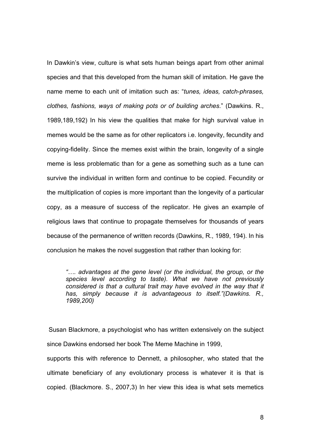In Dawkin's view, culture is what sets human beings apart from other animal species and that this developed from the human skill of imitation. He gave the name meme to each unit of imitation such as: "*tunes, ideas, catch-phrases, clothes, fashions, ways of making pots or of building arches*." (Dawkins. R., 1989,189,192) In his view the qualities that make for high survival value in memes would be the same as for other replicators i.e. longevity, fecundity and copying-fidelity. Since the memes exist within the brain, longevity of a single meme is less problematic than for a gene as something such as a tune can survive the individual in written form and continue to be copied. Fecundity or the multiplication of copies is more important than the longevity of a particular copy, as a measure of success of the replicator. He gives an example of religious laws that continue to propagate themselves for thousands of years because of the permanence of written records (Dawkins, R., 1989, 194). In his conclusion he makes the novel suggestion that rather than looking for:

*"…. advantages at the gene level (or the individual, the group, or the species level according to taste). What we have not previously*  considered is that a cultural trait may have evolved in the way that it *has, simply because it is advantageous to itself."(Dawkins. R., 1989,200)*

Susan Blackmore, a psychologist who has written extensively on the subject since Dawkins endorsed her book The Meme Machine in 1999,

supports this with reference to Dennett, a philosopher, who stated that the ultimate beneficiary of any evolutionary process is whatever it is that is copied. (Blackmore. S., 2007,3) In her view this idea is what sets memetics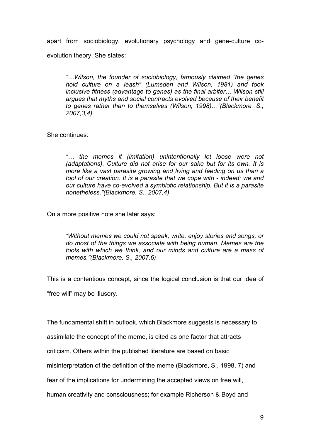apart from sociobiology, evolutionary psychology and gene-culture coevolution theory. She states:

*"…Wilson, the founder of sociobiology, famously claimed "the genes hold culture on a leash" (Lumsden and Wilson, 1981) and took inclusive fitness (advantage to genes) as the final arbiter… Wilson still argues that myths and social contracts evolved because of their benefit to genes rather than to themselves (Wilson, 1998)…"(Blackmore .S., 2007,3,4)*

She continues:

*"… the memes it (imitation) unintentionally let loose were not (adaptations). Culture did not arise for our sake but for its own. It is more like a vast parasite growing and living and feeding on us than a tool of our creation. It is a parasite that we cope with - indeed; we and our culture have co-evolved a symbiotic relationship. But it is a parasite nonetheless."(Blackmore. S., 2007,4)*

On a more positive note she later says:

*"Without memes we could not speak, write, enjoy stories and songs, or do most of the things we associate with being human. Memes are the tools with which we think, and our minds and culture are a mass of memes."(Blackmore. S., 2007,6)*

This is a contentious concept, since the logical conclusion is that our idea of "free will" may be illusory.

The fundamental shift in outlook, which Blackmore suggests is necessary to

assimilate the concept of the meme, is cited as one factor that attracts

criticism. Others within the published literature are based on basic

misinterpretation of the definition of the meme (Blackmore, S., 1998, 7) and

fear of the implications for undermining the accepted views on free will,

human creativity and consciousness; for example Richerson & Boyd and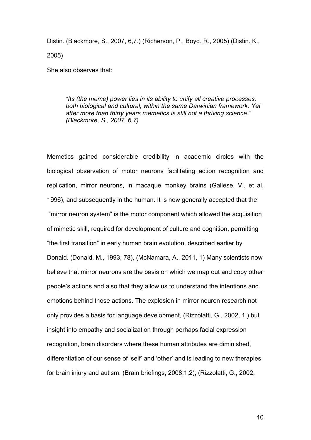Distin. (Blackmore, S., 2007, 6,7.) (Richerson, P., Boyd. R., 2005) (Distin. K., 2005)

She also observes that:

*"Its (the meme) power lies in its ability to unify all creative processes, both biological and cultural, within the same Darwinian framework. Yet after more than thirty years memetics is still not a thriving science." (Blackmore, S., 2007, 6,7)*

Memetics gained considerable credibility in academic circles with the biological observation of motor neurons facilitating action recognition and replication, mirror neurons, in macaque monkey brains (Gallese, V., et al, 1996), and subsequently in the human. It is now generally accepted that the "mirror neuron system" is the motor component which allowed the acquisition of mimetic skill, required for development of culture and cognition, permitting "the first transition" in early human brain evolution, described earlier by Donald. (Donald, M., 1993, 78), (McNamara, A., 2011, 1) Many scientists now believe that mirror neurons are the basis on which we map out and copy other people's actions and also that they allow us to understand the intentions and emotions behind those actions. The explosion in mirror neuron research not only provides a basis for language development, (Rizzolatti, G., 2002, 1.) but insight into empathy and socialization through perhaps facial expression recognition, brain disorders where these human attributes are diminished, differentiation of our sense of 'self' and 'other' and is leading to new therapies for brain injury and autism. (Brain briefings, 2008,1,2); (Rizzolatti, G., 2002,

10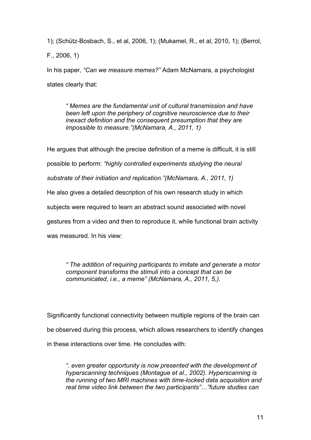1); (Schütz-Bosbach, S., et al, 2006, 1); (Mukamel, R., et al, 2010, 1); (Berrol, F., 2006, 1)

In his paper, *"Can we measure memes?"* Adam McNamara, a psychologist states clearly that:

*" Memes are the fundamental unit of cultural transmission and have been left upon the periphery of cognitive neuroscience due to their inexact definition and the consequent presumption that they are impossible to measure."(McNamara, A., 2011, 1)* 

He argues that although the precise definition of a meme is difficult, it is still possible to perform: *"highly controlled experiments studying the neural substrate of their initiation and replication."(McNamara, A., 2011, 1)* He also gives a detailed description of his own research study in which subjects were required to learn an abstract sound associated with novel gestures from a video and then to reproduce it, while functional brain activity was measured. In his view:

*" The addition of requiring participants to imitate and generate a motor component transforms the stimuli into a concept that can be communicated, i.e., a meme" (McNamara, A., 2011, 5,).*

Significantly functional connectivity between multiple regions of the brain can be observed during this process, which allows researchers to identify changes in these interactions over time. He concludes with:

*". even greater opportunity is now presented with the development of hyperscanning techniques (Montague et al., 2002). Hyperscanning is the running of two MRI machines with time-locked data acquisition and real time video link between the two participants"…"future studies can*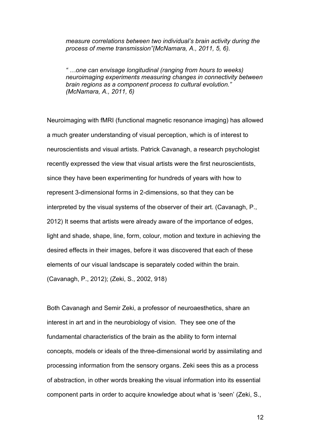*measure correlations between two individual's brain activity during the process of meme transmission"(McNamara, A., 2011, 5, 6).*

*" …one can envisage longitudinal (ranging from hours to weeks) neuroimaging experiments measuring changes in connectivity between brain regions as a component process to cultural evolution." (McNamara, A., 2011, 6)*

Neuroimaging with fMRI (functional magnetic resonance imaging) has allowed a much greater understanding of visual perception, which is of interest to neuroscientists and visual artists. Patrick Cavanagh, a research psychologist recently expressed the view that visual artists were the first neuroscientists, since they have been experimenting for hundreds of years with how to represent 3-dimensional forms in 2-dimensions, so that they can be interpreted by the visual systems of the observer of their art. (Cavanagh, P., 2012) It seems that artists were already aware of the importance of edges, light and shade, shape, line, form, colour, motion and texture in achieving the desired effects in their images, before it was discovered that each of these elements of our visual landscape is separately coded within the brain. (Cavanagh, P., 2012); (Zeki, S., 2002, 918)

Both Cavanagh and Semir Zeki, a professor of neuroaesthetics, share an interest in art and in the neurobiology of vision. They see one of the fundamental characteristics of the brain as the ability to form internal concepts, models or ideals of the three-dimensional world by assimilating and processing information from the sensory organs. Zeki sees this as a process of abstraction, in other words breaking the visual information into its essential component parts in order to acquire knowledge about what is 'seen' (Zeki, S.,

12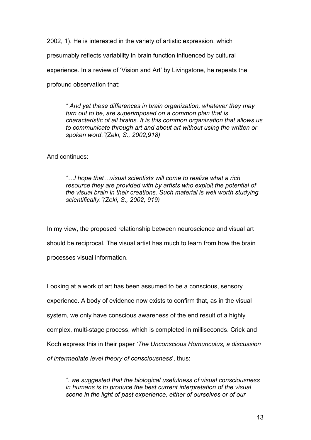2002, 1). He is interested in the variety of artistic expression, which presumably reflects variability in brain function influenced by cultural experience. In a review of 'Vision and Art' by Livingstone, he repeats the profound observation that:

*" And yet these differences in brain organization, whatever they may turn out to be, are superimposed on a common plan that is characteristic of all brains. It is this common organization that allows us to communicate through art and about art without using the written or spoken word."(Zeki, S., 2002,918)*

And continues:

*"…I hope that…visual scientists will come to realize what a rich resource they are provided with by artists who exploit the potential of the visual brain in their creations. Such material is well worth studying scientifically."(Zeki, S., 2002, 919)*

In my view, the proposed relationship between neuroscience and visual art should be reciprocal. The visual artist has much to learn from how the brain processes visual information.

Looking at a work of art has been assumed to be a conscious, sensory experience. A body of evidence now exists to confirm that, as in the visual system, we only have conscious awareness of the end result of a highly complex, multi-stage process, which is completed in milliseconds. Crick and Koch express this in their paper *'The Unconscious Homunculus, a discussion of intermediate level theory of consciousness*', thus:

*". we suggested that the biological usefulness of visual consciousness in humans is to produce the best current interpretation of the visual scene in the light of past experience, either of ourselves or of our*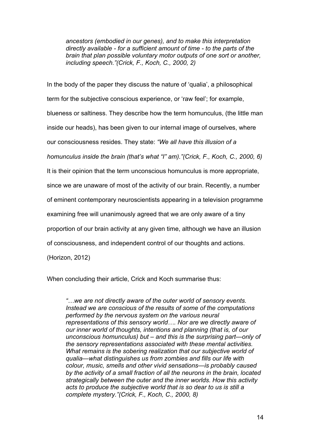*ancestors (embodied in our genes), and to make this interpretation directly available - for a sufficient amount of time - to the parts of the brain that plan possible voluntary motor outputs of one sort or another, including speech."(Crick, F., Koch, C., 2000, 2)*

In the body of the paper they discuss the nature of 'qualia', a philosophical term for the subjective conscious experience, or 'raw feel'; for example, blueness or saltiness. They describe how the term homunculus, (the little man inside our heads), has been given to our internal image of ourselves, where our consciousness resides. They state: *"We all have this illusion of a homunculus inside the brain (that's what "I" am)."(Crick, F., Koch, C., 2000, 6)* It is their opinion that the term unconscious homunculus is more appropriate, since we are unaware of most of the activity of our brain. Recently, a number of eminent contemporary neuroscientists appearing in a television programme examining free will unanimously agreed that we are only aware of a tiny proportion of our brain activity at any given time, although we have an illusion of consciousness, and independent control of our thoughts and actions. (Horizon, 2012)

When concluding their article, Crick and Koch summarise thus:

*"…we are not directly aware of the outer world of sensory events. Instead we are conscious of the results of some of the computations performed by the nervous system on the various neural representations of this sensory world…. Nor are we directly aware of our inner world of thoughts, intentions and planning (that is, of our unconscious homunculus) but – and this is the surprising part—only of the sensory representations associated with these mental activities. What remains is the sobering realization that our subjective world of qualia—what distinguishes us from zombies and fills our life with colour, music, smells and other vivid sensations—is probably caused by the activity of a small fraction of all the neurons in the brain, located strategically between the outer and the inner worlds. How this activity acts to produce the subjective world that is so dear to us is still a complete mystery."(Crick, F., Koch, C., 2000, 8)*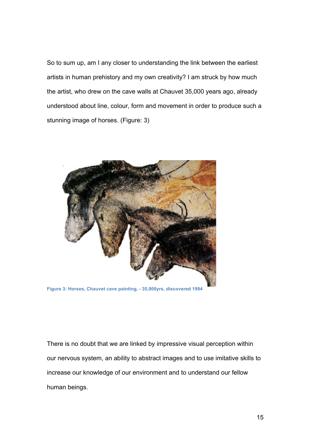So to sum up, am I any closer to understanding the link between the earliest artists in human prehistory and my own creativity? I am struck by how much the artist, who drew on the cave walls at Chauvet 35,000 years ago, already understood about line, colour, form and movement in order to produce such a stunning image of horses. (Figure: 3)



**Figure 3: Horses, Chauvet cave painting, - 35,000yrs, discovered 1994**

There is no doubt that we are linked by impressive visual perception within our nervous system, an ability to abstract images and to use imitative skills to increase our knowledge of our environment and to understand our fellow human beings.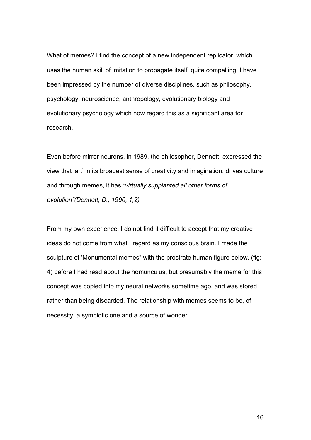What of memes? I find the concept of a new independent replicator, which uses the human skill of imitation to propagate itself, quite compelling. I have been impressed by the number of diverse disciplines, such as philosophy, psychology, neuroscience, anthropology, evolutionary biology and evolutionary psychology which now regard this as a significant area for research.

Even before mirror neurons, in 1989, the philosopher, Dennett, expressed the view that 'art' in its broadest sense of creativity and imagination, drives culture and through memes, it has *"virtually supplanted all other forms of evolution"(Dennett, D., 1990, 1,2)*

From my own experience, I do not find it difficult to accept that my creative ideas do not come from what I regard as my conscious brain. I made the sculpture of 'Monumental memes" with the prostrate human figure below, (fig: 4) before I had read about the homunculus, but presumably the meme for this concept was copied into my neural networks sometime ago, and was stored rather than being discarded. The relationship with memes seems to be, of necessity, a symbiotic one and a source of wonder.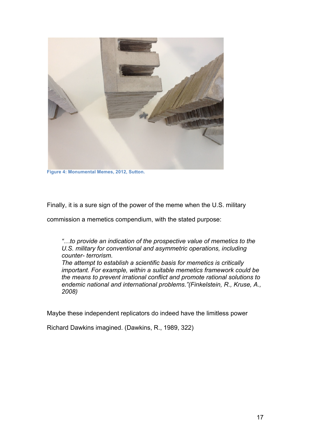

**Figure 4: Monumental Memes, 2012, Sutton.**

Finally, it is a sure sign of the power of the meme when the U.S. military

commission a memetics compendium, with the stated purpose:

*"…to provide an indication of the prospective value of memetics to the U.S. military for conventional and asymmetric operations, including counter- terrorism.*

*The attempt to establish a scientific basis for memetics is critically important. For example, within a suitable memetics framework could be the means to prevent irrational conflict and promote rational solutions to endemic national and international problems."(Finkelstein, R., Kruse, A., 2008)*

Maybe these independent replicators do indeed have the limitless power

Richard Dawkins imagined. (Dawkins, R., 1989, 322)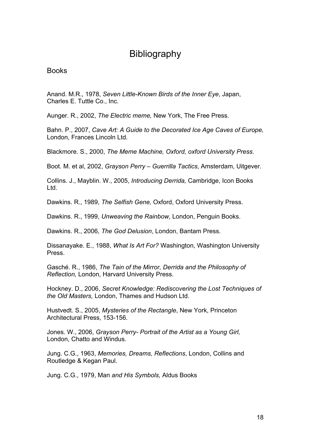### **Bibliography**

Books

Anand. M.R., 1978, *Seven Little-Known Birds of the Inner Eye*, Japan, Charles E. Tuttle Co., Inc.

Aunger. R., 2002, *The Electric meme,* New York, The Free Press.

Bahn. P., 2007, *Cave Art: A Guide to the Decorated Ice Age Caves of Europe,*  London, Frances Lincoln Ltd.

Blackmore. S., 2000, *The Meme Machine, Oxford, oxford University Press.*

Boot. M. et al, 2002, *Grayson Perry – Guerrilla Tactics*, Amsterdam, Uitgever.

Collins. J., Mayblin. W., 2005, *Introducing Derrida,* Cambridge, Icon Books Ltd.

Dawkins. R., 1989, *The Selfish Gene,* Oxford, Oxford University Press.

Dawkins. R., 1999, *Unweaving the Rainbow,* London, Penguin Books.

Dawkins. R., 2006, *The God Delusion*, London, Bantam Press.

Dissanayake. E., 1988, *What Is Art For?* Washington, Washington University Press.

Gasché. R., 1986, *The Tain of the Mirror, Derrida and the Philosophy of Reflection,* London, Harvard University Press.

Hockney. D., 2006, *Secret Knowledge: Rediscovering the Lost Techniques of the Old Masters,* London, Thames and Hudson Ltd.

Hustvedt. S., 2005, *Mysteries of the Rectangle*, New York, Princeton Architectural Press, 153-156.

Jones. W., 2006, *Grayson Perry- Portrait of the Artist as a Young Girl,* London, Chatto and Windus.

Jung. C.G., 1963, *Memories, Dreams, Reflections*, London, Collins and Routledge & Kegan Paul.

Jung. C.G., 1979, Man *and His Symbols,* Aldus Books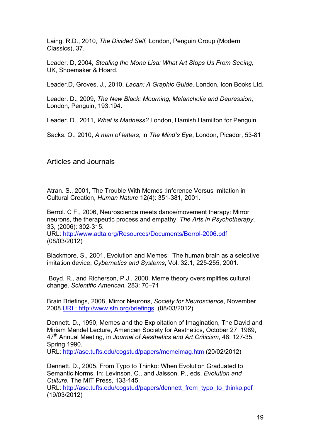Laing. R.D., 2010, *The Divided Self,* London, Penguin Group (Modern Classics), 37.

Leader. D, 2004, *Stealing the Mona Lisa: What Art Stops Us From Seeing,* UK, Shoemaker & Hoard.

Leader.D, Groves. J., 2010, *Lacan: A Graphic Guide,* London, Icon Books Ltd.

Leader. D., 2009, *The New Black: Mourning, Melancholia and Depression*, London, Penguin, 193,194.

Leader. D., 2011, *What is Madness?* London, Hamish Hamilton for Penguin.

Sacks. O., 2010, *A man of letters*, in *The Mind's Eye*, London, Picador, 53-81

Articles and Journals

Atran. S., 2001, The Trouble With Memes :Inference Versus Imitation in Cultural Creation, *Human Nature* 12(4): 351-381, 2001.

Berrol. C F., 2006, Neuroscience meets dance/movement therapy: Mirror neurons, the therapeutic process and empathy. *The Arts in Psychotherapy*, 33, (2006): 302-315.

URL: http://www.adta.org/Resources/Documents/Berrol-2006.pdf (08/03/2012)

Blackmore. S., 2001, Evolution and Memes: The human brain as a selective imitation device, *Cybernetics and Systems***,** Vol. 32:1, 225-255, 2001.

Boyd, R., and Richerson, P.J., 2000. Meme theory oversimplifies cultural change. *Scientific American.* 283: 70–71

Brain Briefings, 2008, Mirror Neurons, *Society for Neuroscience*, November 2008.URL: http://www.sfn.org/briefings (08/03/2012)

Dennett. D., 1990, Memes and the Exploitation of Imagination, The David and Miriam Mandel Lecture, American Society for Aesthetics, October 27, 1989, 47th Annual Meeting, in *Journal of Aesthetics and Art Criticism*, 48: 127-35, Spring 1990.

URL: http://ase.tufts.edu/cogstud/papers/memeimag.htm (20/02/2012)

Dennett. D., 2005, From Typo to Thinko: When Evolution Graduated to Semantic Norms. In: Levinson. C., and Jaisson. P., eds, *Evolution and Culture.* The MIT Press, 133-145.

URL: http://ase.tufts.edu/cogstud/papers/dennett\_from\_typo\_to\_thinko.pdf (19/03/2012)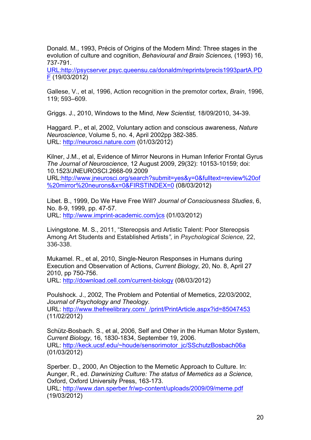Donald. M., 1993, Précis of Origins of the Modern Mind: Three stages in the evolution of culture and cognition, *Behavioural and Brain Sciences,* (1993) 16, 737-791.

URL:http://psycserver.psyc.queensu.ca/donaldm/reprints/precis1993partA.PD F (19/03/2012)

Gallese, V., et al, 1996, Action recognition in the premotor cortex, *Brain*, 1996, 119; 593–609.

Griggs. J., 2010, Windows to the Mind, *New Scientist,* 18/09/2010, 34-39.

Haggard. P., et al, 2002, Voluntary action and conscious awareness, *Nature Neuroscience*, Volume 5, no. 4, April 2002pp 382-385. URL: http://neurosci.nature.com (01/03/2012)

Kilner, J.M., et al, Evidence of Mirror Neurons in Human Inferior Frontal Gyrus *The Journal of Neuroscience*, 12 August 2009, 29(32): 10153-10159; doi: 10.1523/JNEUROSCI.2668-09.2009 URL:http://www.jneurosci.org/search?submit=yes&y=0&fulltext=review%20of

%20mirror%20neurons&x=0&FIRSTINDEX=0 (08/03/2012)

Libet. B., 1999, Do We Have Free Will? *Journal of Consciousness Studies*, 6, No. 8-9, 1999, pp. 47-57. URL: http://www.imprint-academic.com/jcs (01/03/2012)

Livingstone. M. S., 2011, "Stereopsis and Artistic Talent: Poor Stereopsis Among Art Students and Established Artists*",* in *Psychological Science,* 22, 336-338.

Mukamel. R., et al, 2010, Single-Neuron Responses in Humans during Execution and Observation of Actions, *Current Biology*, 20, No. 8, April 27 2010, pp 750-756. URL: http://download.cell.com/current-biology (08/03/2012)

Poulshock. J., 2002, The Problem and Potential of Memetics, 22/03/2002, *Journal of Psychology and Theology.* URL: http://www.thefreelibrary.com/\_/print/PrintArticle.aspx?id=85047453

(11/02/2012)

Schütz-Bosbach. S., et al, 2006, Self and Other in the Human Motor System, *Current Biology*, 16, 1830-1834, September 19, 2006. URL: http://keck.ucsf.edu/~houde/sensorimotor\_jc/SSchutzBosbach06a (01/03/2012)

Sperber. D., 2000, An Objection to the Memetic Approach to Culture. In: Aunger, R., ed. *Darwinizing Culture: The status of Memetics as a Science,*  Oxford, Oxford University Press, 163-173.

URL: http://www.dan.sperber.fr/wp-content/uploads/2009/09/meme.pdf (19/03/2012)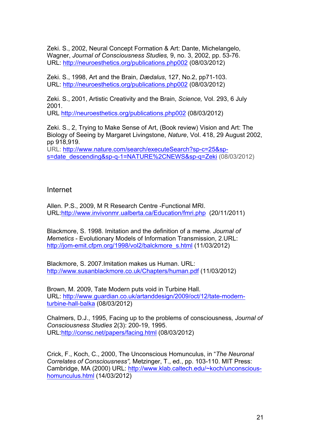Zeki. S., 2002, Neural Concept Formation & Art: Dante, Michelangelo, Wagner, *Journal of Consciousness Studies,* 9, no. 3, 2002, pp. 53-76. URL: http://neuroesthetics.org/publications.php002 (08/03/2012)

Zeki. S., 1998, Art and the Brain, *Dædalus*, 127, No.2, pp71-103. URL: http://neuroesthetics.org/publications.php002 (08/03/2012)

Zeki. S., 2001, Artistic Creativity and the Brain, *Science,* Vol. 293, 6 July 2001.

URL http://neuroesthetics.org/publications.php002 (08/03/2012)

Zeki. S., 2, Trying to Make Sense of Art, (Book review) Vision and Art: The Biology of Seeing by Margaret Livingstone, *Nature*, Vol. 418, 29 August 2002, pp 918,919.

URL: http://www.nature.com/search/executeSearch?sp-c=25&sps=date\_descending&sp-q-1=NATURE%2CNEWS&sp-q=Zeki (08/03/2012)

#### Internet

Allen. P.S., 2009, M R Research Centre -Functional MRI. URL:http://www.invivonmr.ualberta.ca/Education/fmri.php (20/11/2011)

Blackmore, S. 1998. Imitation and the definition of a meme*. Journal of Memetics* - Evolutionary Models of Information Transmission, 2.URL: http://jom-emit.cfpm.org/1998/vol2/balckmore\_s.html (11/03/2012)

Blackmore, S. 2007.Imitation makes us Human. URL: http://www.susanblackmore.co.uk/Chapters/human.pdf (11/03/2012)

Brown, M. 2009, Tate Modern puts void in Turbine Hall. URL: http://www.guardian.co.uk/artanddesign/2009/oct/12/tate-modernturbine-hall-balka (08/03/2012)

Chalmers, D.J., 1995, Facing up to the problems of consciousness*, Journal of Consciousness Studies* 2(3): 200-19, 1995. URL:http://consc.net/papers/facing.html (08/03/2012)

Crick, F., Koch, C., 2000, The Unconscious Homunculus, in "*The Neuronal Correlates of Consciousness",* Metzinger, T., ed., pp. 103-110. MIT Press: Cambridge, MA (2000) URL: http://www.klab.caltech.edu/~koch/unconscioushomunculus.html (14/03/2012)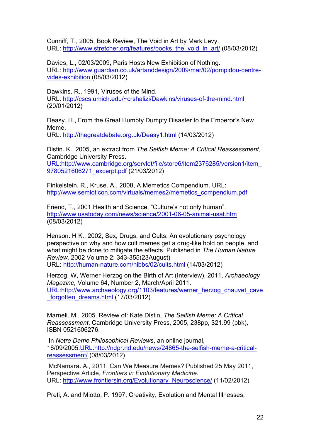Cunniff, T., 2005, Book Review, The Void in Art by Mark Levy. URL: http://www.stretcher.org/features/books\_the\_void\_in\_art/ (08/03/2012)

Davies, L., 02/03/2009, Paris Hosts New Exhibition of Nothing. URL: http://www.guardian.co.uk/artanddesign/2009/mar/02/pompidou-centrevides-exhibition (08/03/2012)

Dawkins. R., 1991, Viruses of the Mind. URL: http://cscs.umich.edu/~crshalizi/Dawkins/viruses-of-the-mind.html (20/01/2012)

Deasy. H., From the Great Humpty Dumpty Disaster to the Emperor's New Meme.

URL: http://thegreatdebate.org.uk/Deasy1.html (14/03/2012)

Distin. K., 2005, an extract from *The Selfish Meme: A Critical Reassessment*, Cambridge University Press. URL:http://www.cambridge.org/servlet/file/store6/item2376285/version1/item\_

9780521606271\_excerpt.pdf (21/03/2012)

Finkelstein. R., Kruse. A., 2008, A Memetics Compendium. URL: http://www.semioticon.com/virtuals/memes2/memetics\_compendium.pdf

Friend, T., 2001, Health and Science, "Culture's not only human". http://www.usatoday.com/news/science/2001-06-05-animal-usat.htm (08/03/2012)

Henson. H K., 2002, Sex, Drugs, and Cults: An evolutionary psychology perspective on why and how cult memes get a drug-like hold on people, and what might be done to mitigate the effects. Published in *The Human Nature Review,* 2002 Volume 2: 343-355(23August) URL**:** http://human-nature.com/nibbs/02/cults.html (14/03/2012)

Herzog, W, Werner Herzog on the Birth of Art (Interview), 2011, *Archaeology Magazine,* Volume 64, Number 2, March/April 2011. URL:http://www.archaeology.org/1103/features/werner\_herzog\_chauvet\_cave forgotten\_dreams.html (17/03/2012)

Marneli. M., 2005. Review of: Kate Distin, *The Selfish Meme: A Critical Reassessment*, Cambridge University Press, 2005, 238pp, \$21.99 (pbk), ISBN 0521606276.

In *Notre Dame Philosophical Reviews*, an online journal, 16/09/2005.URL:http://ndpr.nd.edu/news/24865-the-selfish-meme-a-criticalreassessment/ (08/03/2012)

McNamara*.* A., 2011, Can We Measure Memes? Published 25 May 2011, Perspective Article, *Frontiers in Evolutionary Medicine.* URL: http://www.frontiersin.org/Evolutionary\_Neuroscience/ (11/02/2012)

Preti, A. and Miotto, P. 1997; Creativity, Evolution and Mental Illnesses,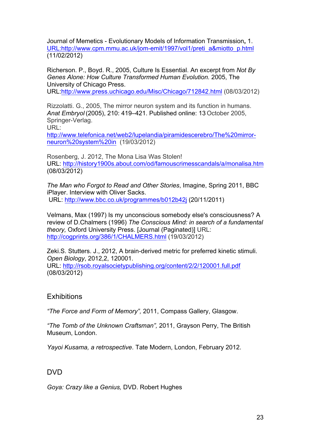Journal of Memetics - Evolutionary Models of Information Transmission**,** 1. URL:http://www.cpm.mmu.ac.uk/jom-emit/1997/vol1/preti\_a&miotto\_p.html (11/02/2012)

Richerson. P., Boyd. R., 2005, Culture Is Essential. An excerpt from *Not By Genes Alone: How Culture Transformed Human Evolution.* 2005, The University of Chicago Press.

URL:http://www.press.uchicago.edu/Misc/Chicago/712842.html (08/03/2012)

Rizzolatti. G., 2005, The mirror neuron system and its function in humans. *Anat Embryol* (2005), 210: 419–421. Published online: 13 October 2005, Springer-Verlag.

URL:

http://www.telefonica.net/web2/lupelandia/piramidescerebro/The%20mirrorneuron%20system%20in (19/03/2012)

Rosenberg, J. 2012, The Mona Lisa Was Stolen! URL: http://history1900s.about.com/od/famouscrimesscandals/a/monalisa.htm (08/03/2012)

*The Man who Forgot to Read and Other Stories*, Imagine, Spring 2011, BBC iPlayer. Interview with Oliver Sacks. URL: http://www.bbc.co.uk/programmes/b012b42j (20/11/2011)

Velmans, Max (1997) Is my unconscious somebody else's consciousness? A review of D.Chalmers (1996) *The Conscious Mind: in search of a fundamental theory,* Oxford University Press. [Journal (Paginated)] URL: http://cogprints.org/386/1/CHALMERS.html (19/03/2012)

Zeki.S. Stutters. J., 2012, A brain-derived metric for preferred kinetic stimuli. *Open Biology*, 2012,2, 120001. URL: http://rsob.royalsocietypublishing.org/content/2/2/120001.full.pdf (08/03/2012)

#### **Exhibitions**

*"The Force and Form of Memory",* 2011, Compass Gallery, Glasgow.

*"The Tomb of the Unknown Craftsman",* 2011, Grayson Perry, The British Museum, London.

*Yayoi Kusama, a retrospective*. Tate Modern, London, February 2012.

#### DVD

*Goya: Crazy like a Genius,* DVD. Robert Hughes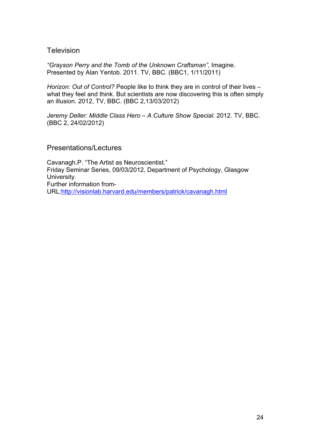#### **Television**

*"Grayson Perry and the Tomb of the Unknown Craftsman"*, Imagine. Presented by Alan Yentob. 2011. TV, BBC. (BBC1, 1/11/2011)

*Horizon: Out of Control?* People like to think they are in control of their lives – what they feel and think. But scientists are now discovering this is often simply an illusion*.* 2012, TV, BBC. (BBC 2,13/03/2012)

*Jeremy Deller: Middle Class Hero – A Culture Show Special*. 2012. TV, BBC. (BBC 2, 24/02/2012)

#### Presentations/Lectures

Cavanagh.P. "The Artist as Neuroscientist." Friday Seminar Series, 09/03/2012, Department of Psychology, Glasgow University. Further information from-URL:http://visionlab.harvard.edu/members/patrick/cavanagh.html